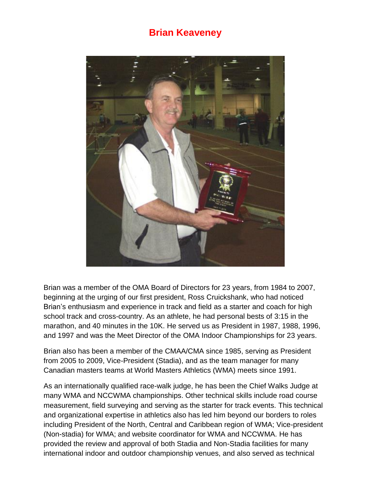## **Brian Keaveney**



Brian was a member of the OMA Board of Directors for 23 years, from 1984 to 2007, beginning at the urging of our first president, Ross Cruickshank, who had noticed Brian's enthusiasm and experience in track and field as a starter and coach for high school track and cross-country. As an athlete, he had personal bests of 3:15 in the marathon, and 40 minutes in the 10K. He served us as President in 1987, 1988, 1996, and 1997 and was the Meet Director of the OMA Indoor Championships for 23 years.

Brian also has been a member of the CMAA/CMA since 1985, serving as President from 2005 to 2009, Vice-President (Stadia), and as the team manager for many Canadian masters teams at World Masters Athletics (WMA) meets since 1991.

As an internationally qualified race-walk judge, he has been the Chief Walks Judge at many WMA and NCCWMA championships. Other technical skills include road course measurement, field surveying and serving as the starter for track events. This technical and organizational expertise in athletics also has led him beyond our borders to roles including President of the North, Central and Caribbean region of WMA; Vice-president (Non-stadia) for WMA; and website coordinator for WMA and NCCWMA. He has provided the review and approval of both Stadia and Non-Stadia facilities for many international indoor and outdoor championship venues, and also served as technical